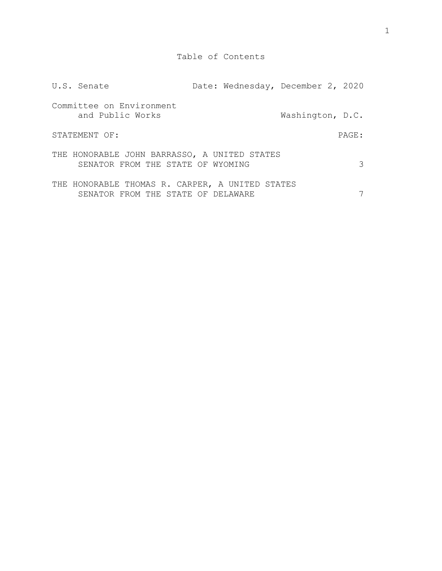| U.S. Senate                                                                           | Date: Wednesday, December 2, 2020 |                  |       |  |
|---------------------------------------------------------------------------------------|-----------------------------------|------------------|-------|--|
| Committee on Environment<br>and Public Works                                          |                                   | Washington, D.C. |       |  |
| STATEMENT OF:                                                                         |                                   |                  | PAGE: |  |
| THE HONORABLE JOHN BARRASSO, A UNITED STATES<br>SENATOR FROM THE STATE OF WYOMING     |                                   |                  |       |  |
| THE HONORABLE THOMAS R. CARPER, A UNITED STATES<br>SENATOR FROM THE STATE OF DELAWARE |                                   |                  |       |  |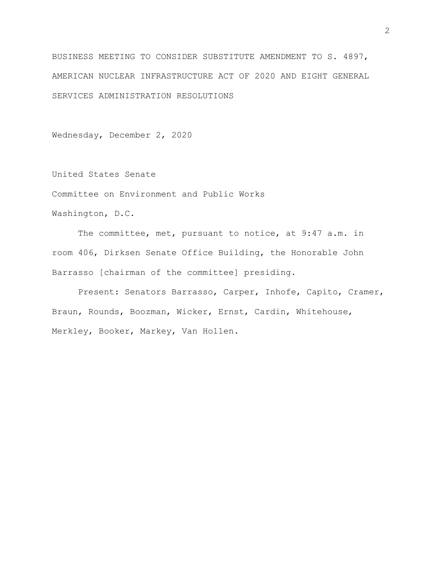BUSINESS MEETING TO CONSIDER SUBSTITUTE AMENDMENT TO S. 4897, AMERICAN NUCLEAR INFRASTRUCTURE ACT OF 2020 AND EIGHT GENERAL SERVICES ADMINISTRATION RESOLUTIONS

Wednesday, December 2, 2020

United States Senate Committee on Environment and Public Works Washington, D.C.

The committee, met, pursuant to notice, at 9:47 a.m. in room 406, Dirksen Senate Office Building, the Honorable John Barrasso [chairman of the committee] presiding.

Present: Senators Barrasso, Carper, Inhofe, Capito, Cramer, Braun, Rounds, Boozman, Wicker, Ernst, Cardin, Whitehouse, Merkley, Booker, Markey, Van Hollen.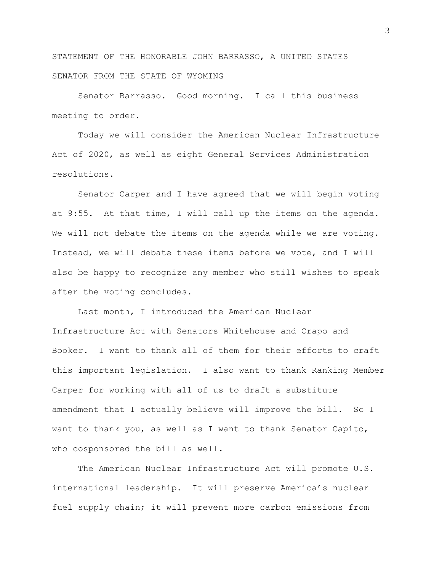STATEMENT OF THE HONORABLE JOHN BARRASSO, A UNITED STATES SENATOR FROM THE STATE OF WYOMING

Senator Barrasso. Good morning. I call this business meeting to order.

Today we will consider the American Nuclear Infrastructure Act of 2020, as well as eight General Services Administration resolutions.

Senator Carper and I have agreed that we will begin voting at 9:55. At that time, I will call up the items on the agenda. We will not debate the items on the agenda while we are voting. Instead, we will debate these items before we vote, and I will also be happy to recognize any member who still wishes to speak after the voting concludes.

Last month, I introduced the American Nuclear Infrastructure Act with Senators Whitehouse and Crapo and Booker. I want to thank all of them for their efforts to craft this important legislation. I also want to thank Ranking Member Carper for working with all of us to draft a substitute amendment that I actually believe will improve the bill. So I want to thank you, as well as I want to thank Senator Capito, who cosponsored the bill as well.

The American Nuclear Infrastructure Act will promote U.S. international leadership. It will preserve America's nuclear fuel supply chain; it will prevent more carbon emissions from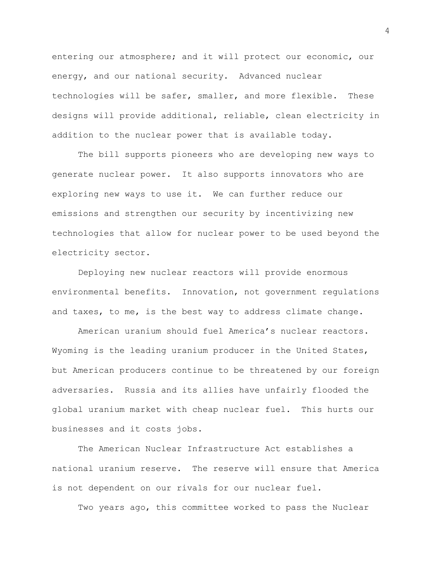entering our atmosphere; and it will protect our economic, our energy, and our national security. Advanced nuclear technologies will be safer, smaller, and more flexible. These designs will provide additional, reliable, clean electricity in addition to the nuclear power that is available today.

The bill supports pioneers who are developing new ways to generate nuclear power. It also supports innovators who are exploring new ways to use it. We can further reduce our emissions and strengthen our security by incentivizing new technologies that allow for nuclear power to be used beyond the electricity sector.

Deploying new nuclear reactors will provide enormous environmental benefits. Innovation, not government regulations and taxes, to me, is the best way to address climate change.

American uranium should fuel America's nuclear reactors. Wyoming is the leading uranium producer in the United States, but American producers continue to be threatened by our foreign adversaries. Russia and its allies have unfairly flooded the global uranium market with cheap nuclear fuel. This hurts our businesses and it costs jobs.

The American Nuclear Infrastructure Act establishes a national uranium reserve. The reserve will ensure that America is not dependent on our rivals for our nuclear fuel.

Two years ago, this committee worked to pass the Nuclear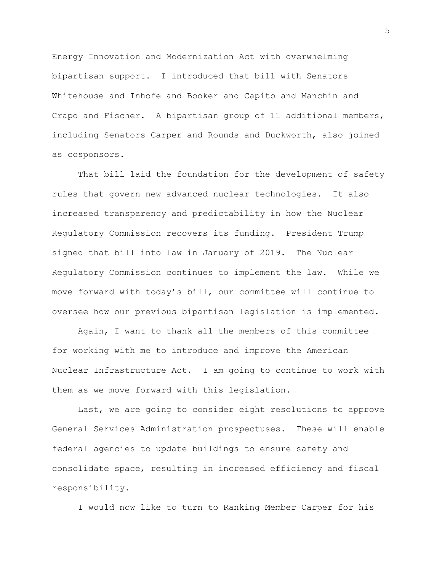Energy Innovation and Modernization Act with overwhelming bipartisan support. I introduced that bill with Senators Whitehouse and Inhofe and Booker and Capito and Manchin and Crapo and Fischer. A bipartisan group of 11 additional members, including Senators Carper and Rounds and Duckworth, also joined as cosponsors.

That bill laid the foundation for the development of safety rules that govern new advanced nuclear technologies. It also increased transparency and predictability in how the Nuclear Regulatory Commission recovers its funding. President Trump signed that bill into law in January of 2019. The Nuclear Regulatory Commission continues to implement the law. While we move forward with today's bill, our committee will continue to oversee how our previous bipartisan legislation is implemented.

Again, I want to thank all the members of this committee for working with me to introduce and improve the American Nuclear Infrastructure Act. I am going to continue to work with them as we move forward with this legislation.

Last, we are going to consider eight resolutions to approve General Services Administration prospectuses. These will enable federal agencies to update buildings to ensure safety and consolidate space, resulting in increased efficiency and fiscal responsibility.

I would now like to turn to Ranking Member Carper for his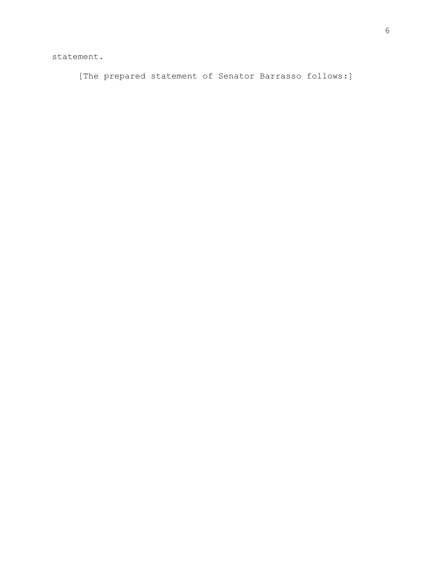statement.

[The prepared statement of Senator Barrasso follows:]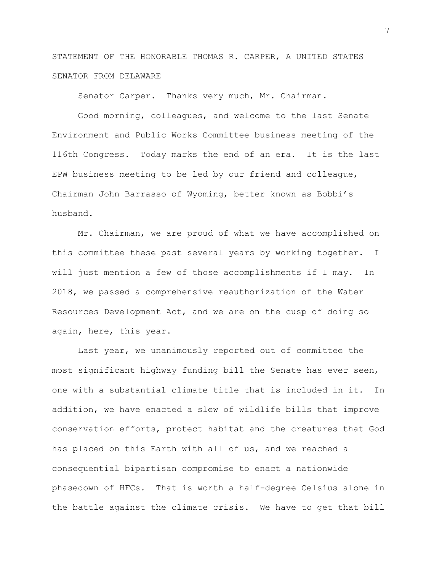STATEMENT OF THE HONORABLE THOMAS R. CARPER, A UNITED STATES SENATOR FROM DELAWARE

Senator Carper. Thanks very much, Mr. Chairman.

Good morning, colleagues, and welcome to the last Senate Environment and Public Works Committee business meeting of the 116th Congress. Today marks the end of an era. It is the last EPW business meeting to be led by our friend and colleague, Chairman John Barrasso of Wyoming, better known as Bobbi's husband.

Mr. Chairman, we are proud of what we have accomplished on this committee these past several years by working together. I will just mention a few of those accomplishments if I may. In 2018, we passed a comprehensive reauthorization of the Water Resources Development Act, and we are on the cusp of doing so again, here, this year.

Last year, we unanimously reported out of committee the most significant highway funding bill the Senate has ever seen, one with a substantial climate title that is included in it. In addition, we have enacted a slew of wildlife bills that improve conservation efforts, protect habitat and the creatures that God has placed on this Earth with all of us, and we reached a consequential bipartisan compromise to enact a nationwide phasedown of HFCs. That is worth a half-degree Celsius alone in the battle against the climate crisis. We have to get that bill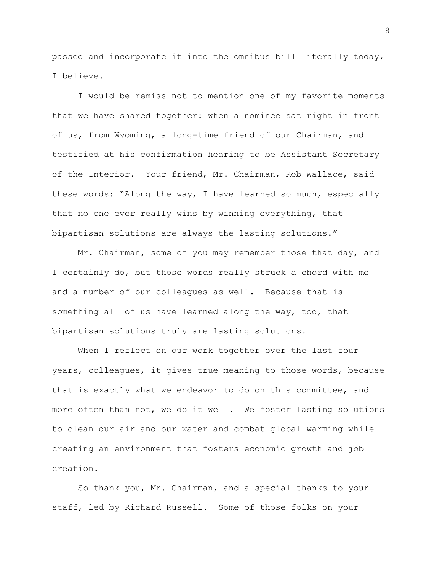passed and incorporate it into the omnibus bill literally today, I believe.

I would be remiss not to mention one of my favorite moments that we have shared together: when a nominee sat right in front of us, from Wyoming, a long-time friend of our Chairman, and testified at his confirmation hearing to be Assistant Secretary of the Interior. Your friend, Mr. Chairman, Rob Wallace, said these words: "Along the way, I have learned so much, especially that no one ever really wins by winning everything, that bipartisan solutions are always the lasting solutions."

Mr. Chairman, some of you may remember those that day, and I certainly do, but those words really struck a chord with me and a number of our colleagues as well. Because that is something all of us have learned along the way, too, that bipartisan solutions truly are lasting solutions.

When I reflect on our work together over the last four years, colleagues, it gives true meaning to those words, because that is exactly what we endeavor to do on this committee, and more often than not, we do it well. We foster lasting solutions to clean our air and our water and combat global warming while creating an environment that fosters economic growth and job creation.

So thank you, Mr. Chairman, and a special thanks to your staff, led by Richard Russell. Some of those folks on your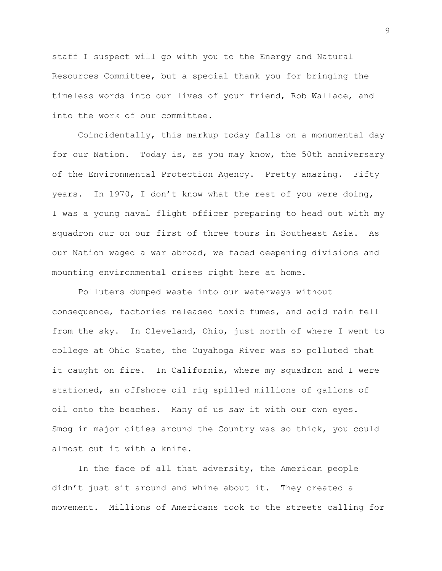staff I suspect will go with you to the Energy and Natural Resources Committee, but a special thank you for bringing the timeless words into our lives of your friend, Rob Wallace, and into the work of our committee.

Coincidentally, this markup today falls on a monumental day for our Nation. Today is, as you may know, the 50th anniversary of the Environmental Protection Agency. Pretty amazing. Fifty years. In 1970, I don't know what the rest of you were doing, I was a young naval flight officer preparing to head out with my squadron our on our first of three tours in Southeast Asia. As our Nation waged a war abroad, we faced deepening divisions and mounting environmental crises right here at home.

Polluters dumped waste into our waterways without consequence, factories released toxic fumes, and acid rain fell from the sky. In Cleveland, Ohio, just north of where I went to college at Ohio State, the Cuyahoga River was so polluted that it caught on fire. In California, where my squadron and I were stationed, an offshore oil rig spilled millions of gallons of oil onto the beaches. Many of us saw it with our own eyes. Smog in major cities around the Country was so thick, you could almost cut it with a knife.

In the face of all that adversity, the American people didn't just sit around and whine about it. They created a movement. Millions of Americans took to the streets calling for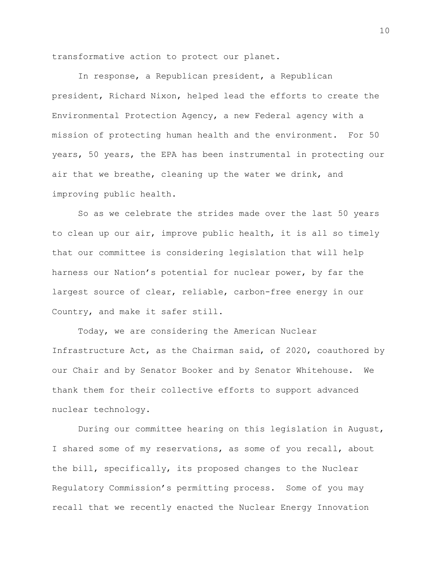transformative action to protect our planet.

In response, a Republican president, a Republican president, Richard Nixon, helped lead the efforts to create the Environmental Protection Agency, a new Federal agency with a mission of protecting human health and the environment. For 50 years, 50 years, the EPA has been instrumental in protecting our air that we breathe, cleaning up the water we drink, and improving public health.

So as we celebrate the strides made over the last 50 years to clean up our air, improve public health, it is all so timely that our committee is considering legislation that will help harness our Nation's potential for nuclear power, by far the largest source of clear, reliable, carbon-free energy in our Country, and make it safer still.

Today, we are considering the American Nuclear Infrastructure Act, as the Chairman said, of 2020, coauthored by our Chair and by Senator Booker and by Senator Whitehouse. We thank them for their collective efforts to support advanced nuclear technology.

During our committee hearing on this legislation in August, I shared some of my reservations, as some of you recall, about the bill, specifically, its proposed changes to the Nuclear Regulatory Commission's permitting process. Some of you may recall that we recently enacted the Nuclear Energy Innovation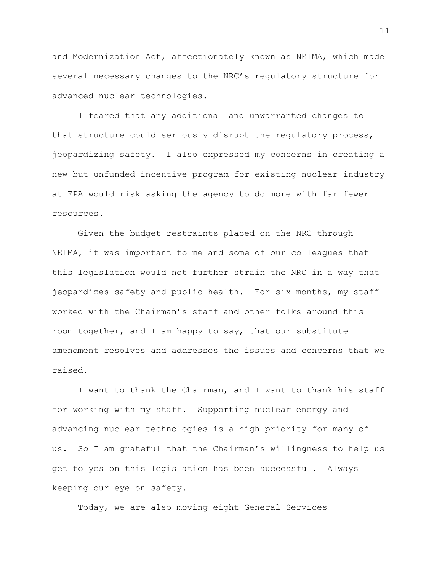and Modernization Act, affectionately known as NEIMA, which made several necessary changes to the NRC's regulatory structure for advanced nuclear technologies.

I feared that any additional and unwarranted changes to that structure could seriously disrupt the regulatory process, jeopardizing safety. I also expressed my concerns in creating a new but unfunded incentive program for existing nuclear industry at EPA would risk asking the agency to do more with far fewer resources.

Given the budget restraints placed on the NRC through NEIMA, it was important to me and some of our colleagues that this legislation would not further strain the NRC in a way that jeopardizes safety and public health. For six months, my staff worked with the Chairman's staff and other folks around this room together, and I am happy to say, that our substitute amendment resolves and addresses the issues and concerns that we raised.

I want to thank the Chairman, and I want to thank his staff for working with my staff. Supporting nuclear energy and advancing nuclear technologies is a high priority for many of us. So I am grateful that the Chairman's willingness to help us get to yes on this legislation has been successful. Always keeping our eye on safety.

Today, we are also moving eight General Services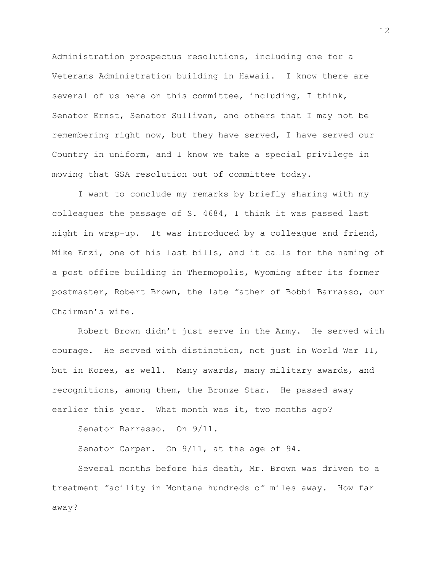Administration prospectus resolutions, including one for a Veterans Administration building in Hawaii. I know there are several of us here on this committee, including, I think, Senator Ernst, Senator Sullivan, and others that I may not be remembering right now, but they have served, I have served our Country in uniform, and I know we take a special privilege in moving that GSA resolution out of committee today.

I want to conclude my remarks by briefly sharing with my colleagues the passage of S. 4684, I think it was passed last night in wrap-up. It was introduced by a colleague and friend, Mike Enzi, one of his last bills, and it calls for the naming of a post office building in Thermopolis, Wyoming after its former postmaster, Robert Brown, the late father of Bobbi Barrasso, our Chairman's wife.

Robert Brown didn't just serve in the Army. He served with courage. He served with distinction, not just in World War II, but in Korea, as well. Many awards, many military awards, and recognitions, among them, the Bronze Star. He passed away earlier this year. What month was it, two months ago?

Senator Barrasso. On 9/11.

Senator Carper. On 9/11, at the age of 94.

Several months before his death, Mr. Brown was driven to a treatment facility in Montana hundreds of miles away. How far away?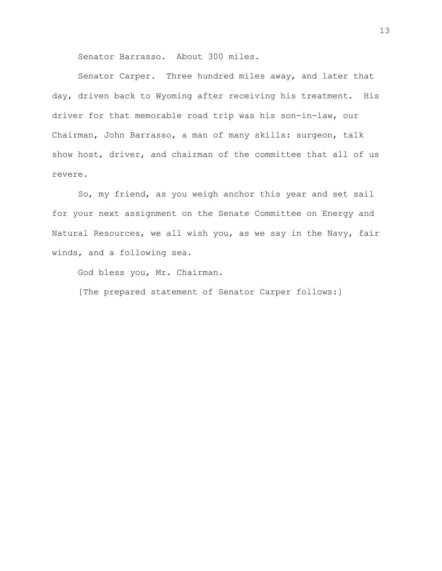Senator Barrasso. About 300 miles.

Senator Carper. Three hundred miles away, and later that day, driven back to Wyoming after receiving his treatment. His driver for that memorable road trip was his son-in-law, our Chairman, John Barrasso, a man of many skills: surgeon, talk show host, driver, and chairman of the committee that all of us revere.

So, my friend, as you weigh anchor this year and set sail for your next assignment on the Senate Committee on Energy and Natural Resources, we all wish you, as we say in the Navy, fair winds, and a following sea.

God bless you, Mr. Chairman.

[The prepared statement of Senator Carper follows:]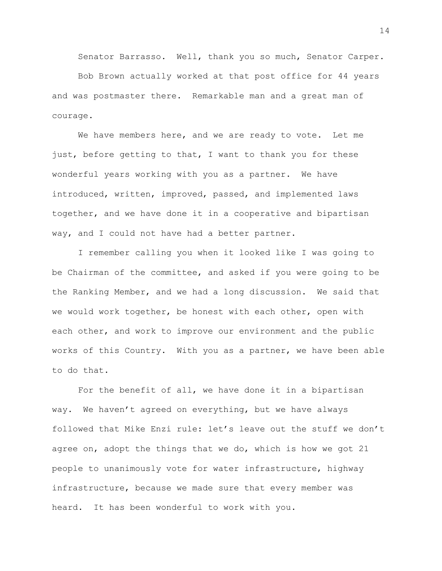Senator Barrasso. Well, thank you so much, Senator Carper.

Bob Brown actually worked at that post office for 44 years and was postmaster there. Remarkable man and a great man of courage.

We have members here, and we are ready to vote. Let me just, before getting to that, I want to thank you for these wonderful years working with you as a partner. We have introduced, written, improved, passed, and implemented laws together, and we have done it in a cooperative and bipartisan way, and I could not have had a better partner.

I remember calling you when it looked like I was going to be Chairman of the committee, and asked if you were going to be the Ranking Member, and we had a long discussion. We said that we would work together, be honest with each other, open with each other, and work to improve our environment and the public works of this Country. With you as a partner, we have been able to do that.

For the benefit of all, we have done it in a bipartisan way. We haven't agreed on everything, but we have always followed that Mike Enzi rule: let's leave out the stuff we don't agree on, adopt the things that we do, which is how we got 21 people to unanimously vote for water infrastructure, highway infrastructure, because we made sure that every member was heard. It has been wonderful to work with you.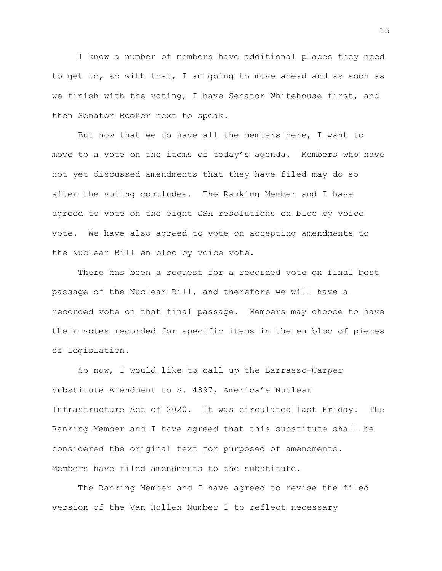I know a number of members have additional places they need to get to, so with that, I am going to move ahead and as soon as we finish with the voting, I have Senator Whitehouse first, and then Senator Booker next to speak.

But now that we do have all the members here, I want to move to a vote on the items of today's agenda. Members who have not yet discussed amendments that they have filed may do so after the voting concludes. The Ranking Member and I have agreed to vote on the eight GSA resolutions en bloc by voice vote. We have also agreed to vote on accepting amendments to the Nuclear Bill en bloc by voice vote.

There has been a request for a recorded vote on final best passage of the Nuclear Bill, and therefore we will have a recorded vote on that final passage. Members may choose to have their votes recorded for specific items in the en bloc of pieces of legislation.

So now, I would like to call up the Barrasso-Carper Substitute Amendment to S. 4897, America's Nuclear Infrastructure Act of 2020. It was circulated last Friday. The Ranking Member and I have agreed that this substitute shall be considered the original text for purposed of amendments. Members have filed amendments to the substitute.

The Ranking Member and I have agreed to revise the filed version of the Van Hollen Number 1 to reflect necessary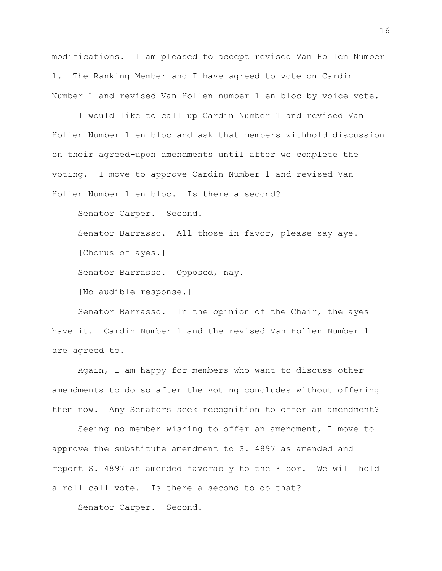modifications. I am pleased to accept revised Van Hollen Number 1. The Ranking Member and I have agreed to vote on Cardin Number 1 and revised Van Hollen number 1 en bloc by voice vote.

I would like to call up Cardin Number 1 and revised Van Hollen Number 1 en bloc and ask that members withhold discussion on their agreed-upon amendments until after we complete the voting. I move to approve Cardin Number 1 and revised Van Hollen Number 1 en bloc. Is there a second?

Senator Carper. Second.

Senator Barrasso. All those in favor, please say aye.

[Chorus of ayes.]

Senator Barrasso. Opposed, nay.

[No audible response.]

Senator Barrasso. In the opinion of the Chair, the ayes have it. Cardin Number 1 and the revised Van Hollen Number 1 are agreed to.

Again, I am happy for members who want to discuss other amendments to do so after the voting concludes without offering them now. Any Senators seek recognition to offer an amendment?

Seeing no member wishing to offer an amendment, I move to approve the substitute amendment to S. 4897 as amended and report S. 4897 as amended favorably to the Floor. We will hold a roll call vote. Is there a second to do that?

Senator Carper. Second.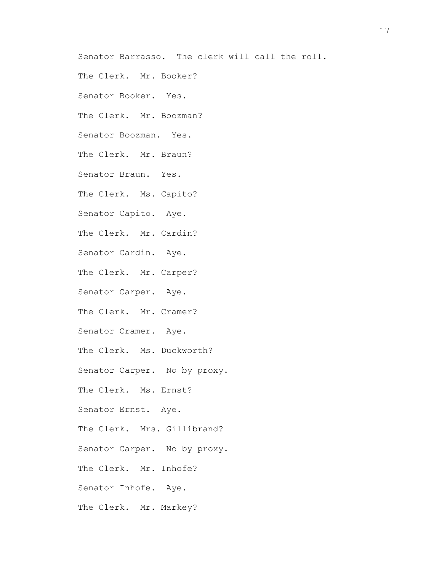Senator Barrasso. The clerk will call the roll.

The Clerk. Mr. Booker?

Senator Booker. Yes.

The Clerk. Mr. Boozman?

Senator Boozman. Yes.

The Clerk. Mr. Braun?

Senator Braun. Yes.

The Clerk. Ms. Capito?

Senator Capito. Aye.

The Clerk. Mr. Cardin?

Senator Cardin. Aye.

The Clerk. Mr. Carper?

Senator Carper. Aye.

The Clerk. Mr. Cramer?

Senator Cramer. Aye.

The Clerk. Ms. Duckworth?

Senator Carper. No by proxy.

The Clerk. Ms. Ernst?

Senator Ernst. Aye.

The Clerk. Mrs. Gillibrand?

Senator Carper. No by proxy.

The Clerk. Mr. Inhofe?

Senator Inhofe. Aye.

The Clerk. Mr. Markey?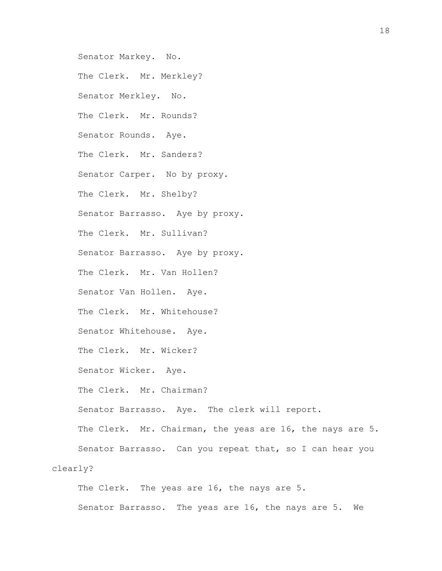Senator Markey. No. The Clerk. Mr. Merkley? Senator Merkley. No. The Clerk. Mr. Rounds? Senator Rounds. Aye. The Clerk. Mr. Sanders? Senator Carper. No by proxy. The Clerk. Mr. Shelby? Senator Barrasso. Aye by proxy. The Clerk. Mr. Sullivan? Senator Barrasso. Aye by proxy. The Clerk. Mr. Van Hollen? Senator Van Hollen. Aye. The Clerk. Mr. Whitehouse? Senator Whitehouse. Aye. The Clerk. Mr. Wicker? Senator Wicker. Aye. The Clerk. Mr. Chairman? Senator Barrasso. Aye. The clerk will report. The Clerk. Mr. Chairman, the yeas are 16, the nays are 5. Senator Barrasso. Can you repeat that, so I can hear you clearly? The Clerk. The yeas are 16, the nays are 5.

Senator Barrasso. The yeas are 16, the nays are 5. We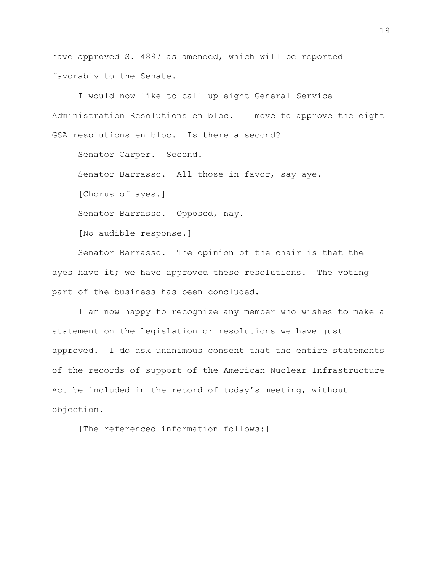have approved S. 4897 as amended, which will be reported favorably to the Senate.

I would now like to call up eight General Service Administration Resolutions en bloc. I move to approve the eight GSA resolutions en bloc. Is there a second?

Senator Carper. Second.

Senator Barrasso. All those in favor, say aye.

[Chorus of ayes.]

Senator Barrasso. Opposed, nay.

[No audible response.]

Senator Barrasso. The opinion of the chair is that the ayes have it; we have approved these resolutions. The voting part of the business has been concluded.

I am now happy to recognize any member who wishes to make a statement on the legislation or resolutions we have just approved. I do ask unanimous consent that the entire statements of the records of support of the American Nuclear Infrastructure Act be included in the record of today's meeting, without objection.

[The referenced information follows:]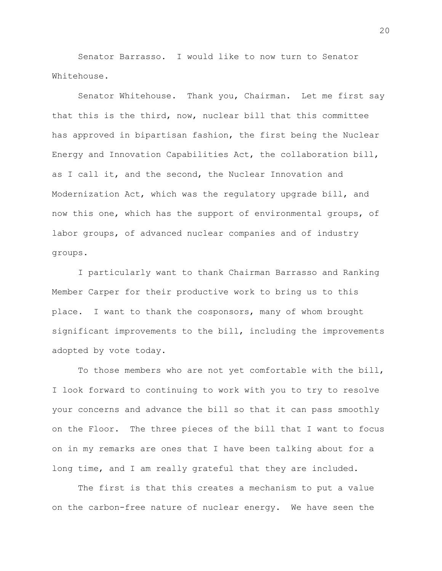Senator Barrasso. I would like to now turn to Senator Whitehouse.

Senator Whitehouse. Thank you, Chairman. Let me first say that this is the third, now, nuclear bill that this committee has approved in bipartisan fashion, the first being the Nuclear Energy and Innovation Capabilities Act, the collaboration bill, as I call it, and the second, the Nuclear Innovation and Modernization Act, which was the regulatory upgrade bill, and now this one, which has the support of environmental groups, of labor groups, of advanced nuclear companies and of industry groups.

I particularly want to thank Chairman Barrasso and Ranking Member Carper for their productive work to bring us to this place. I want to thank the cosponsors, many of whom brought significant improvements to the bill, including the improvements adopted by vote today.

To those members who are not yet comfortable with the bill, I look forward to continuing to work with you to try to resolve your concerns and advance the bill so that it can pass smoothly on the Floor. The three pieces of the bill that I want to focus on in my remarks are ones that I have been talking about for a long time, and I am really grateful that they are included.

The first is that this creates a mechanism to put a value on the carbon-free nature of nuclear energy. We have seen the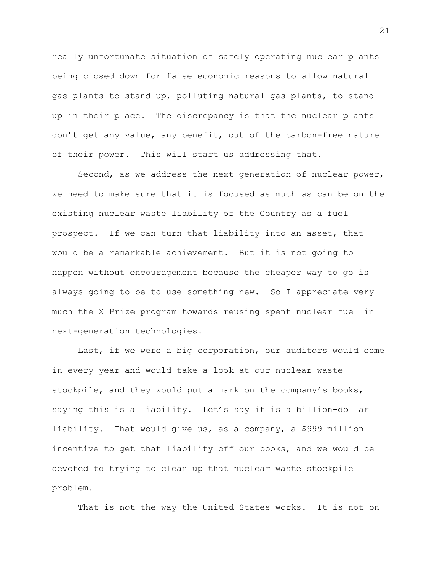really unfortunate situation of safely operating nuclear plants being closed down for false economic reasons to allow natural gas plants to stand up, polluting natural gas plants, to stand up in their place. The discrepancy is that the nuclear plants don't get any value, any benefit, out of the carbon-free nature of their power. This will start us addressing that.

Second, as we address the next generation of nuclear power, we need to make sure that it is focused as much as can be on the existing nuclear waste liability of the Country as a fuel prospect. If we can turn that liability into an asset, that would be a remarkable achievement. But it is not going to happen without encouragement because the cheaper way to go is always going to be to use something new. So I appreciate very much the X Prize program towards reusing spent nuclear fuel in next-generation technologies.

Last, if we were a big corporation, our auditors would come in every year and would take a look at our nuclear waste stockpile, and they would put a mark on the company's books, saying this is a liability. Let's say it is a billion-dollar liability. That would give us, as a company, a \$999 million incentive to get that liability off our books, and we would be devoted to trying to clean up that nuclear waste stockpile problem.

That is not the way the United States works. It is not on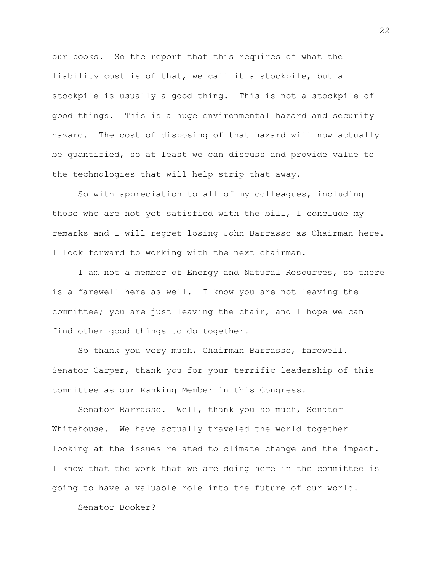our books. So the report that this requires of what the liability cost is of that, we call it a stockpile, but a stockpile is usually a good thing. This is not a stockpile of good things. This is a huge environmental hazard and security hazard. The cost of disposing of that hazard will now actually be quantified, so at least we can discuss and provide value to the technologies that will help strip that away.

So with appreciation to all of my colleagues, including those who are not yet satisfied with the bill, I conclude my remarks and I will regret losing John Barrasso as Chairman here. I look forward to working with the next chairman.

I am not a member of Energy and Natural Resources, so there is a farewell here as well. I know you are not leaving the committee; you are just leaving the chair, and I hope we can find other good things to do together.

So thank you very much, Chairman Barrasso, farewell. Senator Carper, thank you for your terrific leadership of this committee as our Ranking Member in this Congress.

Senator Barrasso. Well, thank you so much, Senator Whitehouse. We have actually traveled the world together looking at the issues related to climate change and the impact. I know that the work that we are doing here in the committee is going to have a valuable role into the future of our world.

Senator Booker?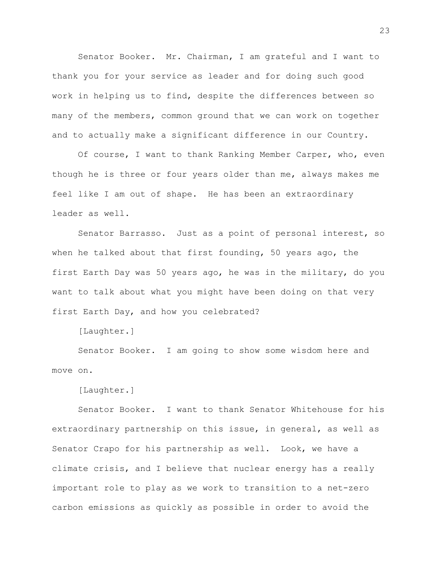Senator Booker. Mr. Chairman, I am grateful and I want to thank you for your service as leader and for doing such good work in helping us to find, despite the differences between so many of the members, common ground that we can work on together and to actually make a significant difference in our Country.

Of course, I want to thank Ranking Member Carper, who, even though he is three or four years older than me, always makes me feel like I am out of shape. He has been an extraordinary leader as well.

Senator Barrasso. Just as a point of personal interest, so when he talked about that first founding, 50 years ago, the first Earth Day was 50 years ago, he was in the military, do you want to talk about what you might have been doing on that very first Earth Day, and how you celebrated?

[Laughter.]

Senator Booker. I am going to show some wisdom here and move on.

[Laughter.]

Senator Booker. I want to thank Senator Whitehouse for his extraordinary partnership on this issue, in general, as well as Senator Crapo for his partnership as well. Look, we have a climate crisis, and I believe that nuclear energy has a really important role to play as we work to transition to a net-zero carbon emissions as quickly as possible in order to avoid the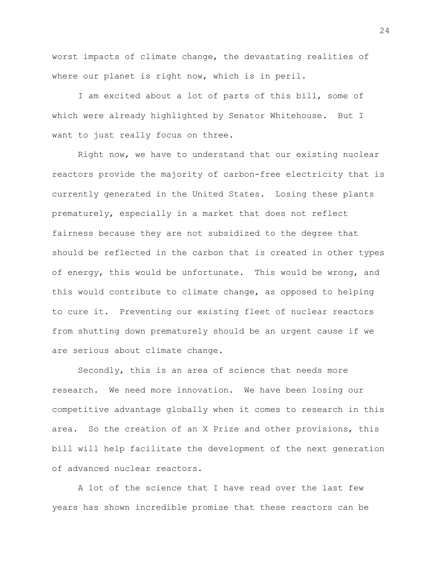worst impacts of climate change, the devastating realities of where our planet is right now, which is in peril.

I am excited about a lot of parts of this bill, some of which were already highlighted by Senator Whitehouse. But I want to just really focus on three.

Right now, we have to understand that our existing nuclear reactors provide the majority of carbon-free electricity that is currently generated in the United States. Losing these plants prematurely, especially in a market that does not reflect fairness because they are not subsidized to the degree that should be reflected in the carbon that is created in other types of energy, this would be unfortunate. This would be wrong, and this would contribute to climate change, as opposed to helping to cure it. Preventing our existing fleet of nuclear reactors from shutting down prematurely should be an urgent cause if we are serious about climate change.

Secondly, this is an area of science that needs more research. We need more innovation. We have been losing our competitive advantage globally when it comes to research in this area. So the creation of an X Prize and other provisions, this bill will help facilitate the development of the next generation of advanced nuclear reactors.

A lot of the science that I have read over the last few years has shown incredible promise that these reactors can be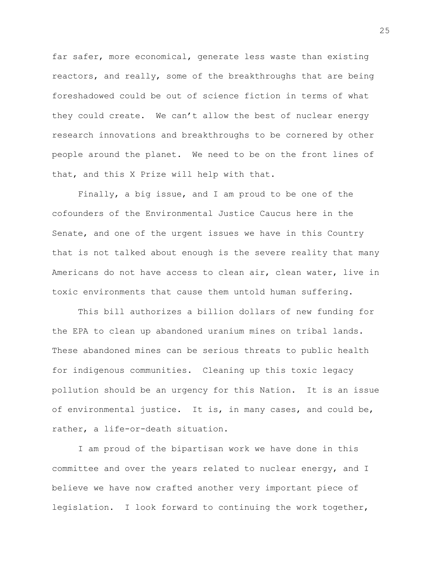far safer, more economical, generate less waste than existing reactors, and really, some of the breakthroughs that are being foreshadowed could be out of science fiction in terms of what they could create. We can't allow the best of nuclear energy research innovations and breakthroughs to be cornered by other people around the planet. We need to be on the front lines of that, and this X Prize will help with that.

Finally, a big issue, and I am proud to be one of the cofounders of the Environmental Justice Caucus here in the Senate, and one of the urgent issues we have in this Country that is not talked about enough is the severe reality that many Americans do not have access to clean air, clean water, live in toxic environments that cause them untold human suffering.

This bill authorizes a billion dollars of new funding for the EPA to clean up abandoned uranium mines on tribal lands. These abandoned mines can be serious threats to public health for indigenous communities. Cleaning up this toxic legacy pollution should be an urgency for this Nation. It is an issue of environmental justice. It is, in many cases, and could be, rather, a life-or-death situation.

I am proud of the bipartisan work we have done in this committee and over the years related to nuclear energy, and I believe we have now crafted another very important piece of legislation. I look forward to continuing the work together,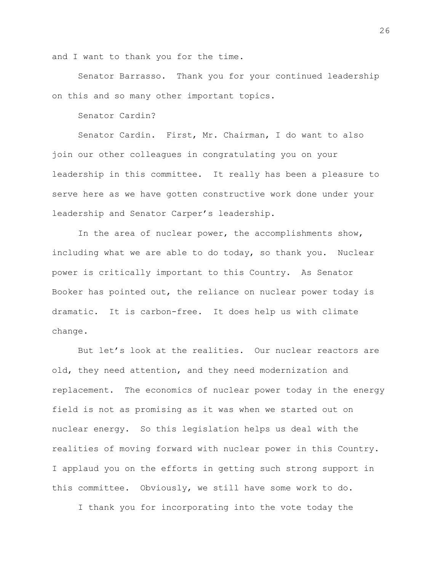and I want to thank you for the time.

Senator Barrasso. Thank you for your continued leadership on this and so many other important topics.

Senator Cardin?

Senator Cardin. First, Mr. Chairman, I do want to also join our other colleagues in congratulating you on your leadership in this committee. It really has been a pleasure to serve here as we have gotten constructive work done under your leadership and Senator Carper's leadership.

In the area of nuclear power, the accomplishments show, including what we are able to do today, so thank you. Nuclear power is critically important to this Country. As Senator Booker has pointed out, the reliance on nuclear power today is dramatic. It is carbon-free. It does help us with climate change.

But let's look at the realities. Our nuclear reactors are old, they need attention, and they need modernization and replacement. The economics of nuclear power today in the energy field is not as promising as it was when we started out on nuclear energy. So this legislation helps us deal with the realities of moving forward with nuclear power in this Country. I applaud you on the efforts in getting such strong support in this committee. Obviously, we still have some work to do.

I thank you for incorporating into the vote today the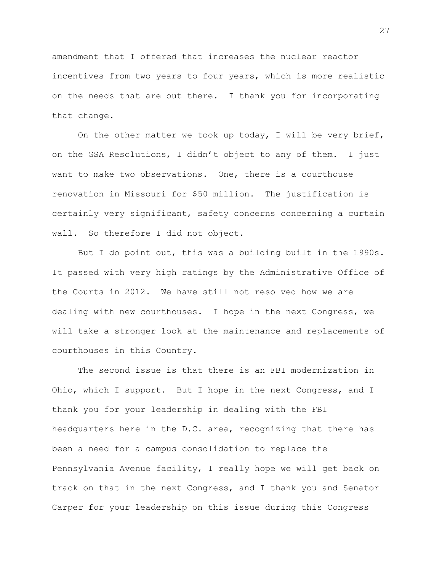amendment that I offered that increases the nuclear reactor incentives from two years to four years, which is more realistic on the needs that are out there. I thank you for incorporating that change.

On the other matter we took up today, I will be very brief, on the GSA Resolutions, I didn't object to any of them. I just want to make two observations. One, there is a courthouse renovation in Missouri for \$50 million. The justification is certainly very significant, safety concerns concerning a curtain wall. So therefore I did not object.

But I do point out, this was a building built in the 1990s. It passed with very high ratings by the Administrative Office of the Courts in 2012. We have still not resolved how we are dealing with new courthouses. I hope in the next Congress, we will take a stronger look at the maintenance and replacements of courthouses in this Country.

The second issue is that there is an FBI modernization in Ohio, which I support. But I hope in the next Congress, and I thank you for your leadership in dealing with the FBI headquarters here in the D.C. area, recognizing that there has been a need for a campus consolidation to replace the Pennsylvania Avenue facility, I really hope we will get back on track on that in the next Congress, and I thank you and Senator Carper for your leadership on this issue during this Congress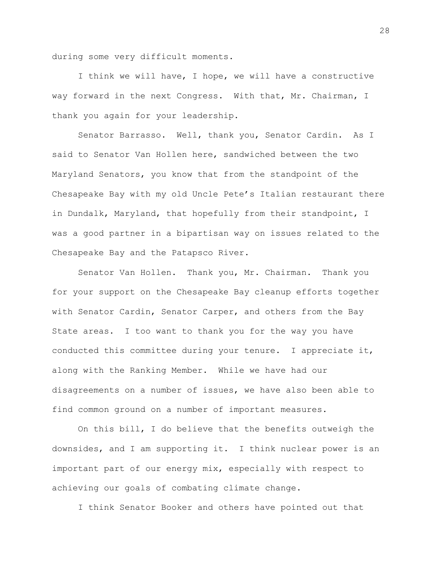during some very difficult moments.

I think we will have, I hope, we will have a constructive way forward in the next Congress. With that, Mr. Chairman, I thank you again for your leadership.

Senator Barrasso. Well, thank you, Senator Cardin. As I said to Senator Van Hollen here, sandwiched between the two Maryland Senators, you know that from the standpoint of the Chesapeake Bay with my old Uncle Pete's Italian restaurant there in Dundalk, Maryland, that hopefully from their standpoint, I was a good partner in a bipartisan way on issues related to the Chesapeake Bay and the Patapsco River.

Senator Van Hollen. Thank you, Mr. Chairman. Thank you for your support on the Chesapeake Bay cleanup efforts together with Senator Cardin, Senator Carper, and others from the Bay State areas. I too want to thank you for the way you have conducted this committee during your tenure. I appreciate it, along with the Ranking Member. While we have had our disagreements on a number of issues, we have also been able to find common ground on a number of important measures.

On this bill, I do believe that the benefits outweigh the downsides, and I am supporting it. I think nuclear power is an important part of our energy mix, especially with respect to achieving our goals of combating climate change.

I think Senator Booker and others have pointed out that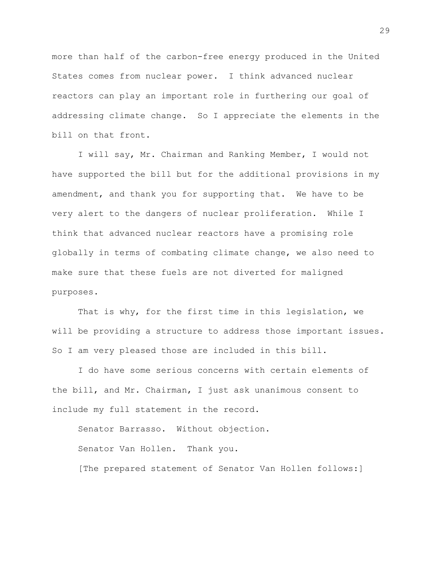more than half of the carbon-free energy produced in the United States comes from nuclear power. I think advanced nuclear reactors can play an important role in furthering our goal of addressing climate change. So I appreciate the elements in the bill on that front.

I will say, Mr. Chairman and Ranking Member, I would not have supported the bill but for the additional provisions in my amendment, and thank you for supporting that. We have to be very alert to the dangers of nuclear proliferation. While I think that advanced nuclear reactors have a promising role globally in terms of combating climate change, we also need to make sure that these fuels are not diverted for maligned purposes.

That is why, for the first time in this legislation, we will be providing a structure to address those important issues. So I am very pleased those are included in this bill.

I do have some serious concerns with certain elements of the bill, and Mr. Chairman, I just ask unanimous consent to include my full statement in the record.

Senator Barrasso. Without objection. Senator Van Hollen. Thank you. [The prepared statement of Senator Van Hollen follows:]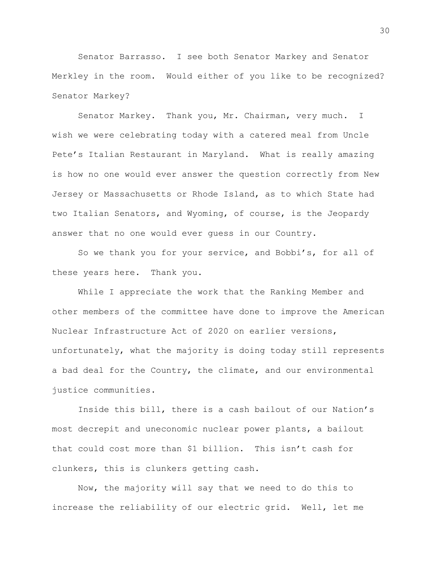Senator Barrasso. I see both Senator Markey and Senator Merkley in the room. Would either of you like to be recognized? Senator Markey?

Senator Markey. Thank you, Mr. Chairman, very much. I wish we were celebrating today with a catered meal from Uncle Pete's Italian Restaurant in Maryland. What is really amazing is how no one would ever answer the question correctly from New Jersey or Massachusetts or Rhode Island, as to which State had two Italian Senators, and Wyoming, of course, is the Jeopardy answer that no one would ever guess in our Country.

So we thank you for your service, and Bobbi's, for all of these years here. Thank you.

While I appreciate the work that the Ranking Member and other members of the committee have done to improve the American Nuclear Infrastructure Act of 2020 on earlier versions, unfortunately, what the majority is doing today still represents a bad deal for the Country, the climate, and our environmental justice communities.

Inside this bill, there is a cash bailout of our Nation's most decrepit and uneconomic nuclear power plants, a bailout that could cost more than \$1 billion. This isn't cash for clunkers, this is clunkers getting cash.

Now, the majority will say that we need to do this to increase the reliability of our electric grid. Well, let me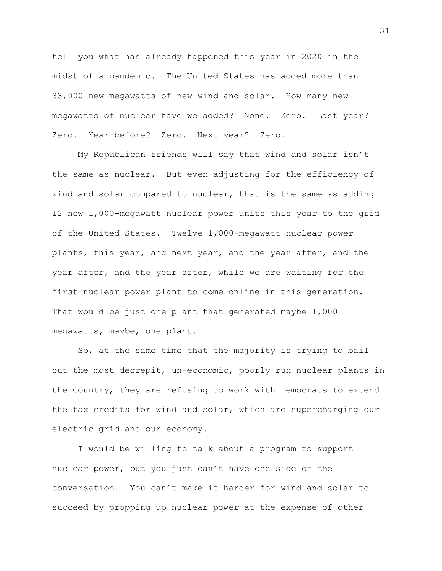tell you what has already happened this year in 2020 in the midst of a pandemic. The United States has added more than 33,000 new megawatts of new wind and solar. How many new megawatts of nuclear have we added? None. Zero. Last year? Zero. Year before? Zero. Next year? Zero.

My Republican friends will say that wind and solar isn't the same as nuclear. But even adjusting for the efficiency of wind and solar compared to nuclear, that is the same as adding 12 new 1,000-megawatt nuclear power units this year to the grid of the United States. Twelve 1,000-megawatt nuclear power plants, this year, and next year, and the year after, and the year after, and the year after, while we are waiting for the first nuclear power plant to come online in this generation. That would be just one plant that generated maybe 1,000 megawatts, maybe, one plant.

So, at the same time that the majority is trying to bail out the most decrepit, un-economic, poorly run nuclear plants in the Country, they are refusing to work with Democrats to extend the tax credits for wind and solar, which are supercharging our electric grid and our economy.

I would be willing to talk about a program to support nuclear power, but you just can't have one side of the conversation. You can't make it harder for wind and solar to succeed by propping up nuclear power at the expense of other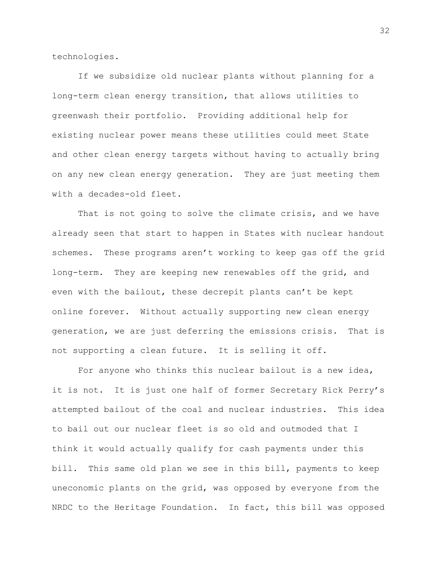technologies.

If we subsidize old nuclear plants without planning for a long-term clean energy transition, that allows utilities to greenwash their portfolio. Providing additional help for existing nuclear power means these utilities could meet State and other clean energy targets without having to actually bring on any new clean energy generation. They are just meeting them with a decades-old fleet.

That is not going to solve the climate crisis, and we have already seen that start to happen in States with nuclear handout schemes. These programs aren't working to keep gas off the grid long-term. They are keeping new renewables off the grid, and even with the bailout, these decrepit plants can't be kept online forever. Without actually supporting new clean energy generation, we are just deferring the emissions crisis. That is not supporting a clean future. It is selling it off.

For anyone who thinks this nuclear bailout is a new idea, it is not. It is just one half of former Secretary Rick Perry's attempted bailout of the coal and nuclear industries. This idea to bail out our nuclear fleet is so old and outmoded that I think it would actually qualify for cash payments under this bill. This same old plan we see in this bill, payments to keep uneconomic plants on the grid, was opposed by everyone from the NRDC to the Heritage Foundation. In fact, this bill was opposed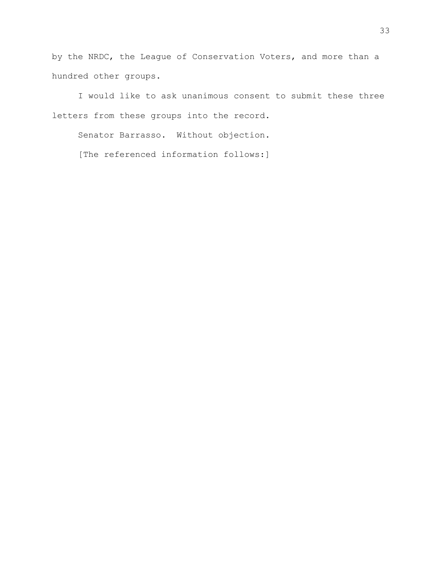by the NRDC, the League of Conservation Voters, and more than a hundred other groups.

I would like to ask unanimous consent to submit these three letters from these groups into the record.

Senator Barrasso. Without objection. [The referenced information follows:]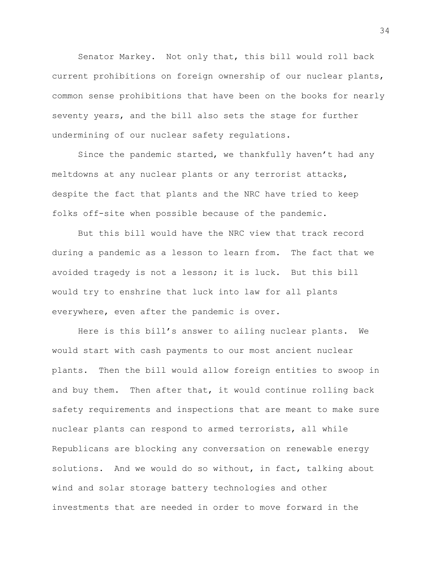Senator Markey. Not only that, this bill would roll back current prohibitions on foreign ownership of our nuclear plants, common sense prohibitions that have been on the books for nearly seventy years, and the bill also sets the stage for further undermining of our nuclear safety regulations.

Since the pandemic started, we thankfully haven't had any meltdowns at any nuclear plants or any terrorist attacks, despite the fact that plants and the NRC have tried to keep folks off-site when possible because of the pandemic.

But this bill would have the NRC view that track record during a pandemic as a lesson to learn from. The fact that we avoided tragedy is not a lesson; it is luck. But this bill would try to enshrine that luck into law for all plants everywhere, even after the pandemic is over.

Here is this bill's answer to ailing nuclear plants. We would start with cash payments to our most ancient nuclear plants. Then the bill would allow foreign entities to swoop in and buy them. Then after that, it would continue rolling back safety requirements and inspections that are meant to make sure nuclear plants can respond to armed terrorists, all while Republicans are blocking any conversation on renewable energy solutions. And we would do so without, in fact, talking about wind and solar storage battery technologies and other investments that are needed in order to move forward in the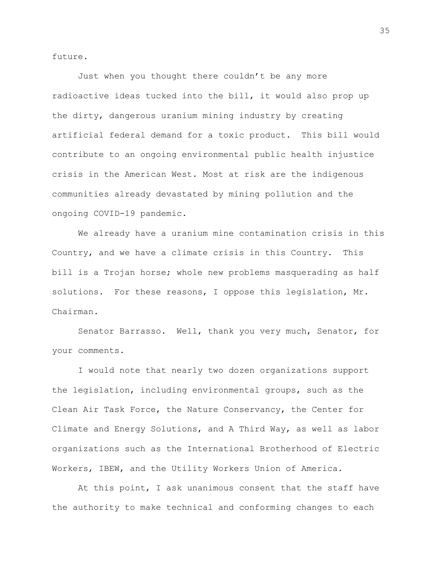future.

Just when you thought there couldn't be any more radioactive ideas tucked into the bill, it would also prop up the dirty, dangerous uranium mining industry by creating artificial federal demand for a toxic product. This bill would contribute to an ongoing environmental public health injustice crisis in the American West. Most at risk are the indigenous communities already devastated by mining pollution and the ongoing COVID-19 pandemic.

We already have a uranium mine contamination crisis in this Country, and we have a climate crisis in this Country. This bill is a Trojan horse; whole new problems masquerading as half solutions. For these reasons, I oppose this legislation, Mr. Chairman.

Senator Barrasso. Well, thank you very much, Senator, for your comments.

I would note that nearly two dozen organizations support the legislation, including environmental groups, such as the Clean Air Task Force, the Nature Conservancy, the Center for Climate and Energy Solutions, and A Third Way, as well as labor organizations such as the International Brotherhood of Electric Workers, IBEW, and the Utility Workers Union of America.

At this point, I ask unanimous consent that the staff have the authority to make technical and conforming changes to each